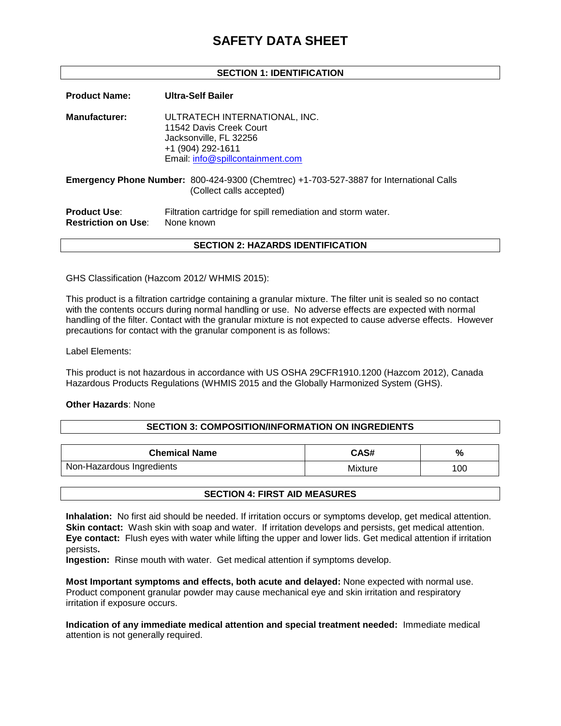# **SAFETY DATA SHEET**

# **SECTION 1: IDENTIFICATION**

**Product Name: Ultra-Self Bailer Manufacturer:** ULTRATECH INTERNATIONAL, INC. 11542 Davis Creek Court Jacksonville, FL 32256 +1 (904) 292-1611 Email: [info@spillcontainment.com](mailto:info@spillcontainment.com) **Emergency Phone Number:** 800-424-9300 (Chemtrec) +1-703-527-3887 for International Calls (Collect calls accepted) **Product Use:** Filtration cartridge for spill remediation and storm water. **Restriction on Use:** None known **SECTION 2: HAZARDS IDENTIFICATION**

GHS Classification (Hazcom 2012/ WHMIS 2015):

This product is a filtration cartridge containing a granular mixture. The filter unit is sealed so no contact with the contents occurs during normal handling or use. No adverse effects are expected with normal handling of the filter. Contact with the granular mixture is not expected to cause adverse effects. However precautions for contact with the granular component is as follows:

Label Elements:

This product is not hazardous in accordance with US OSHA 29CFR1910.1200 (Hazcom 2012), Canada Hazardous Products Regulations (WHMIS 2015 and the Globally Harmonized System (GHS).

#### **Other Hazards**: None

#### **SECTION 3: COMPOSITION/INFORMATION ON INGREDIENTS**

| <b>Chemical Name</b>      | <b>CAS#</b> | %   |
|---------------------------|-------------|-----|
| Non-Hazardous Ingredients | Mixture     | 100 |

# **SECTION 4: FIRST AID MEASURES**

**Inhalation:** No first aid should be needed. If irritation occurs or symptoms develop, get medical attention. **Skin contact:** Wash skin with soap and water. If irritation develops and persists, get medical attention. **Eye contact:** Flush eyes with water while lifting the upper and lower lids. Get medical attention if irritation persists**.**

**Ingestion:** Rinse mouth with water. Get medical attention if symptoms develop.

**Most Important symptoms and effects, both acute and delayed:** None expected with normal use. Product component granular powder may cause mechanical eye and skin irritation and respiratory irritation if exposure occurs.

**Indication of any immediate medical attention and special treatment needed:** Immediate medical attention is not generally required.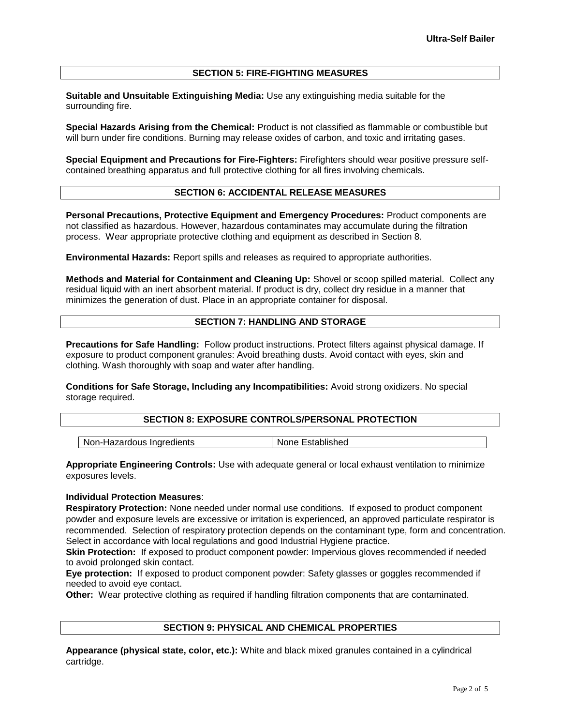# **SECTION 5: FIRE-FIGHTING MEASURES**

**Suitable and Unsuitable Extinguishing Media:** Use any extinguishing media suitable for the surrounding fire.

**Special Hazards Arising from the Chemical:** Product is not classified as flammable or combustible but will burn under fire conditions. Burning may release oxides of carbon, and toxic and irritating gases.

**Special Equipment and Precautions for Fire-Fighters:** Firefighters should wear positive pressure selfcontained breathing apparatus and full protective clothing for all fires involving chemicals.

# **SECTION 6: ACCIDENTAL RELEASE MEASURES**

**Personal Precautions, Protective Equipment and Emergency Procedures:** Product components are not classified as hazardous. However, hazardous contaminates may accumulate during the filtration process. Wear appropriate protective clothing and equipment as described in Section 8.

**Environmental Hazards:** Report spills and releases as required to appropriate authorities.

**Methods and Material for Containment and Cleaning Up:** Shovel or scoop spilled material. Collect any residual liquid with an inert absorbent material. If product is dry, collect dry residue in a manner that minimizes the generation of dust. Place in an appropriate container for disposal.

## **SECTION 7: HANDLING AND STORAGE**

**Precautions for Safe Handling:** Follow product instructions. Protect filters against physical damage. If exposure to product component granules: Avoid breathing dusts. Avoid contact with eyes, skin and clothing. Wash thoroughly with soap and water after handling.

**Conditions for Safe Storage, Including any Incompatibilities:** Avoid strong oxidizers. No special storage required.

#### **SECTION 8: EXPOSURE CONTROLS/PERSONAL PROTECTION**

| Non-Hazardous Ingredients | None Established |
|---------------------------|------------------|

**Appropriate Engineering Controls:** Use with adequate general or local exhaust ventilation to minimize exposures levels.

#### **Individual Protection Measures**:

**Respiratory Protection:** None needed under normal use conditions. If exposed to product component powder and exposure levels are excessive or irritation is experienced, an approved particulate respirator is recommended. Selection of respiratory protection depends on the contaminant type, form and concentration. Select in accordance with local regulations and good Industrial Hygiene practice.

**Skin Protection:** If exposed to product component powder: Impervious gloves recommended if needed to avoid prolonged skin contact.

**Eye protection:** If exposed to product component powder: Safety glasses or goggles recommended if needed to avoid eye contact.

**Other:** Wear protective clothing as required if handling filtration components that are contaminated.

# **SECTION 9: PHYSICAL AND CHEMICAL PROPERTIES**

**Appearance (physical state, color, etc.):** White and black mixed granules contained in a cylindrical cartridge.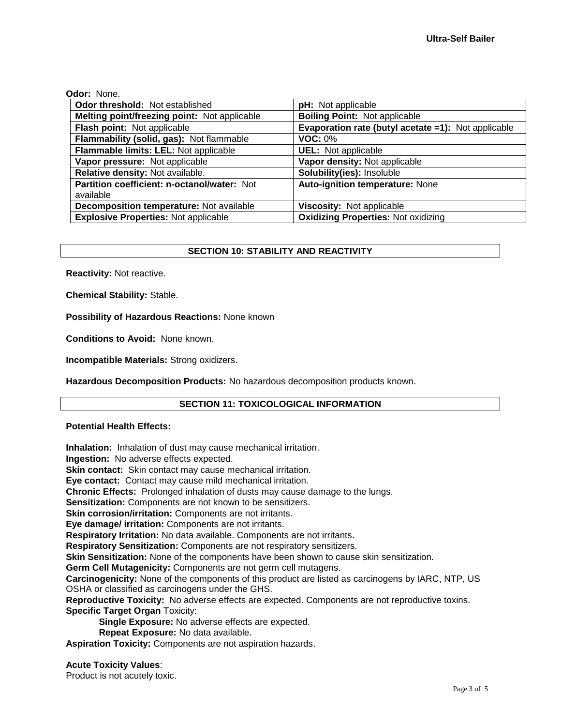## **Odor:** None.

| Odor threshold: Not established              | pH: Not applicable                                  |
|----------------------------------------------|-----------------------------------------------------|
| Melting point/freezing point: Not applicable | <b>Boiling Point: Not applicable</b>                |
| Flash point: Not applicable                  | Evaporation rate (butyl acetate =1): Not applicable |
| Flammability (solid, gas): Not flammable     | <b>VOC: 0%</b>                                      |
| Flammable limits: LEL: Not applicable        | <b>UEL:</b> Not applicable                          |
| Vapor pressure: Not applicable               | Vapor density: Not applicable                       |
| Relative density: Not available.             | Solubility(ies): Insoluble                          |
| Partition coefficient: n-octanol/water: Not  | Auto-ignition temperature: None                     |
| available                                    |                                                     |
| Decomposition temperature: Not available     | Viscosity: Not applicable                           |
| <b>Explosive Properties: Not applicable</b>  | <b>Oxidizing Properties: Not oxidizing</b>          |

## **SECTION 10: STABILITY AND REACTIVITY**

**Reactivity:** Not reactive.

**Chemical Stability:** Stable.

**Possibility of Hazardous Reactions:** None known

**Conditions to Avoid:** None known.

**Incompatible Materials:** Strong oxidizers.

**Hazardous Decomposition Products:** No hazardous decomposition products known.

# **SECTION 11: TOXICOLOGICAL INFORMATION**

#### **Potential Health Effects:**

**Inhalation:** Inhalation of dust may cause mechanical irritation.

**Ingestion:** No adverse effects expected.

**Skin contact:** Skin contact may cause mechanical irritation.

**Eye contact:** Contact may cause mild mechanical irritation.

**Chronic Effects:** Prolonged inhalation of dusts may cause damage to the lungs.

**Sensitization:** Components are not known to be sensitizers.

**Skin corrosion/irritation:** Components are not irritants.

**Eye damage/ irritation:** Components are not irritants.

**Respiratory Irritation:** No data available. Components are not irritants.

**Respiratory Sensitization:** Components are not respiratory sensitizers.

**Skin Sensitization:** None of the components have been shown to cause skin sensitization.

**Germ Cell Mutagenicity:** Components are not germ cell mutagens.

**Carcinogenicity:** None of the components of this product are listed as carcinogens by IARC, NTP, US OSHA or classified as carcinogens under the GHS.

**Reproductive Toxicity:** No adverse effects are expected. Components are not reproductive toxins. **Specific Target Organ** Toxicity:

**Single Exposure:** No adverse effects are expected.

**Repeat Exposure:** No data available.

**Aspiration Toxicity:** Components are not aspiration hazards.

**Acute Toxicity Values**:

Product is not acutely toxic.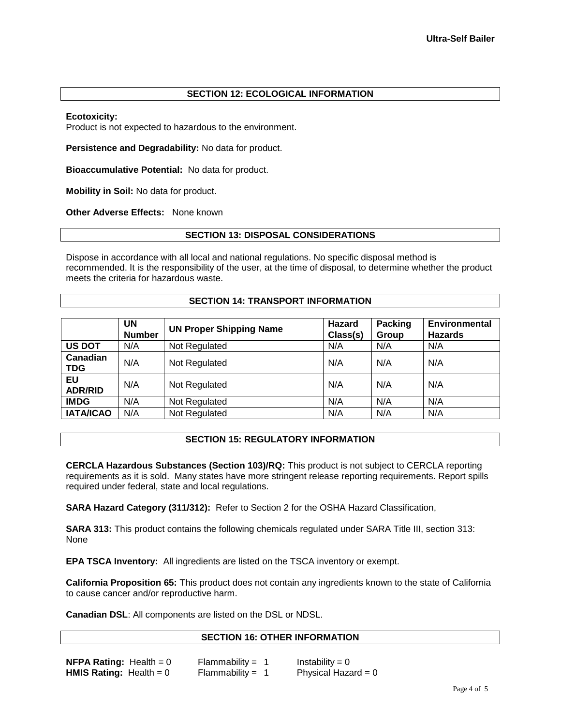# **SECTION 12: ECOLOGICAL INFORMATION**

## **Ecotoxicity:**

Product is not expected to hazardous to the environment.

**Persistence and Degradability:** No data for product.

**Bioaccumulative Potential:** No data for product.

**Mobility in Soil:** No data for product.

**Other Adverse Effects:** None known

## **SECTION 13: DISPOSAL CONSIDERATIONS**

Dispose in accordance with all local and national regulations. No specific disposal method is recommended. It is the responsibility of the user, at the time of disposal, to determine whether the product meets the criteria for hazardous waste.

## **SECTION 14: TRANSPORT INFORMATION**

|                        | UN<br><b>Number</b> | <b>UN Proper Shipping Name</b> | Hazard<br>Class(s) | <b>Packing</b><br>Group | <b>Environmental</b><br><b>Hazards</b> |
|------------------------|---------------------|--------------------------------|--------------------|-------------------------|----------------------------------------|
| <b>US DOT</b>          | N/A                 | Not Regulated                  | N/A                | N/A                     | N/A                                    |
| Canadian<br><b>TDG</b> | N/A                 | Not Regulated                  | N/A                | N/A                     | N/A                                    |
| EU<br><b>ADR/RID</b>   | N/A                 | Not Regulated                  | N/A                | N/A                     | N/A                                    |
| <b>IMDG</b>            | N/A                 | Not Regulated                  | N/A                | N/A                     | N/A                                    |
| <b>IATA/ICAO</b>       | N/A                 | Not Regulated                  | N/A                | N/A                     | N/A                                    |

# **SECTION 15: REGULATORY INFORMATION**

**CERCLA Hazardous Substances (Section 103)/RQ:** This product is not subject to CERCLA reporting requirements as it is sold. Many states have more stringent release reporting requirements. Report spills required under federal, state and local regulations.

**SARA Hazard Category (311/312):** Refer to Section 2 for the OSHA Hazard Classification,

**SARA 313:** This product contains the following chemicals regulated under SARA Title III, section 313: None

**EPA TSCA Inventory:** All ingredients are listed on the TSCA inventory or exempt.

**California Proposition 65:** This product does not contain any ingredients known to the state of California to cause cancer and/or reproductive harm.

**Canadian DSL**: All components are listed on the DSL or NDSL.

# **SECTION 16: OTHER INFORMATION**

| <b>NFPA Rating:</b> Health = $0$ | Flammability = $1$ | Instability = $0$     |
|----------------------------------|--------------------|-----------------------|
| <b>HMIS Rating:</b> Health = $0$ | Flammability = $1$ | Physical Hazard = $0$ |